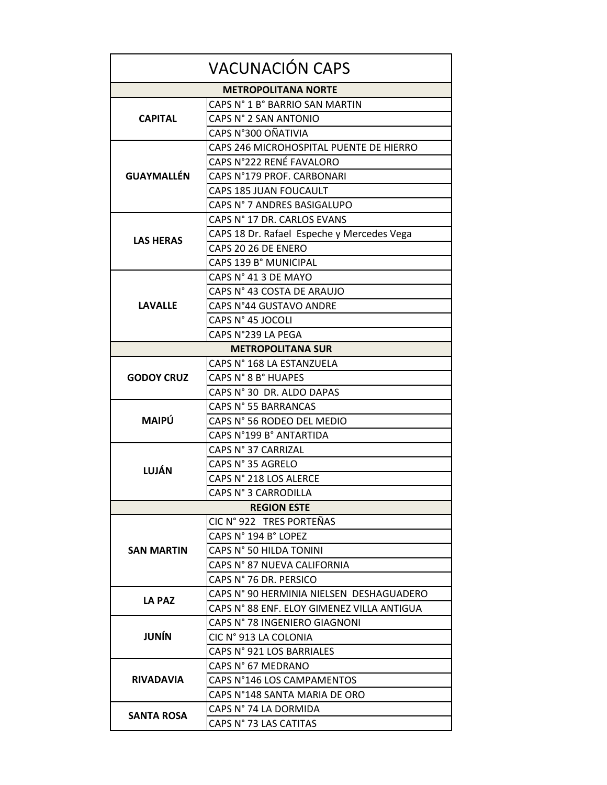| <b>VACUNACIÓN CAPS</b>     |                                            |  |
|----------------------------|--------------------------------------------|--|
| <b>METROPOLITANA NORTE</b> |                                            |  |
|                            | CAPS N° 1 B° BARRIO SAN MARTIN             |  |
| <b>CAPITAL</b>             | CAPS N° 2 SAN ANTONIO                      |  |
|                            | CAPS N°300 OÑATIVIA                        |  |
| <b>GUAYMALLÉN</b>          | CAPS 246 MICROHOSPITAL PUENTE DE HIERRO    |  |
|                            | CAPS N°222 RENÉ FAVALORO                   |  |
|                            | CAPS N°179 PROF. CARBONARI                 |  |
|                            | CAPS 185 JUAN FOUCAULT                     |  |
|                            | CAPS N° 7 ANDRES BASIGALUPO                |  |
| <b>LAS HERAS</b>           | CAPS N° 17 DR. CARLOS EVANS                |  |
|                            | CAPS 18 Dr. Rafael Espeche y Mercedes Vega |  |
|                            | CAPS 20 26 DE ENERO                        |  |
|                            | CAPS 139 B° MUNICIPAL                      |  |
| <b>LAVALLE</b>             | CAPS N° 41 3 DE MAYO                       |  |
|                            | CAPS N° 43 COSTA DE ARAUJO                 |  |
|                            | CAPS N°44 GUSTAVO ANDRE                    |  |
|                            | CAPS N° 45 JOCOLI                          |  |
|                            | CAPS N°239 LA PEGA                         |  |
| <b>METROPOLITANA SUR</b>   |                                            |  |
| <b>GODOY CRUZ</b>          | CAPS N° 168 LA ESTANZUELA                  |  |
|                            | CAPS N° 8 B° HUAPES                        |  |
|                            | CAPS N° 30 DR. ALDO DAPAS                  |  |
| <b>MAIPÚ</b>               | CAPS N° 55 BARRANCAS                       |  |
|                            | CAPS N° 56 RODEO DEL MEDIO                 |  |
|                            | CAPS N°199 B° ANTARTIDA                    |  |
| LUJÁN                      | CAPS N° 37 CARRIZAL                        |  |
|                            | CAPS N° 35 AGRELO                          |  |
|                            | CAPS N° 218 LOS ALERCE                     |  |
|                            | CAPS N° 3 CARRODILLA                       |  |
| <b>REGION ESTE</b>         |                                            |  |
|                            | CIC N° 922 TRES PORTEÑAS                   |  |
| SAN MARTIN                 | CAPS N° 194 B° LOPEZ                       |  |
|                            | CAPS N° 50 HILDA TONINI                    |  |
|                            | CAPS N° 87 NUEVA CALIFORNIA                |  |
|                            | CAPS N° 76 DR. PERSICO                     |  |
| LA PAZ                     | CAPS N° 90 HERMINIA NIELSEN DESHAGUADERO   |  |
|                            | CAPS N° 88 ENF. ELOY GIMENEZ VILLA ANTIGUA |  |
| <b>JUNÍN</b>               | CAPS N° 78 INGENIERO GIAGNONI              |  |
|                            | CIC N° 913 LA COLONIA                      |  |
|                            | CAPS N° 921 LOS BARRIALES                  |  |
| <b>RIVADAVIA</b>           | CAPS N° 67 MEDRANO                         |  |
|                            | CAPS N°146 LOS CAMPAMENTOS                 |  |
|                            | CAPS N°148 SANTA MARIA DE ORO              |  |
| <b>SANTA ROSA</b>          | CAPS N° 74 LA DORMIDA                      |  |
|                            | CAPS N° 73 LAS CATITAS                     |  |
|                            |                                            |  |